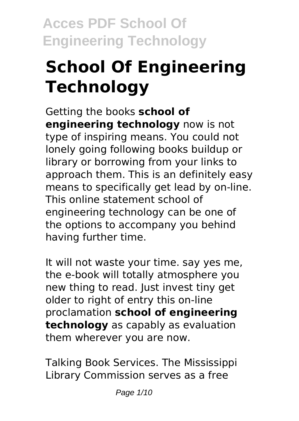# **School Of Engineering Technology**

Getting the books **school of engineering technology** now is not type of inspiring means. You could not lonely going following books buildup or library or borrowing from your links to approach them. This is an definitely easy means to specifically get lead by on-line. This online statement school of engineering technology can be one of the options to accompany you behind having further time.

It will not waste your time. say yes me, the e-book will totally atmosphere you new thing to read. Just invest tiny get older to right of entry this on-line proclamation **school of engineering technology** as capably as evaluation them wherever you are now.

Talking Book Services. The Mississippi Library Commission serves as a free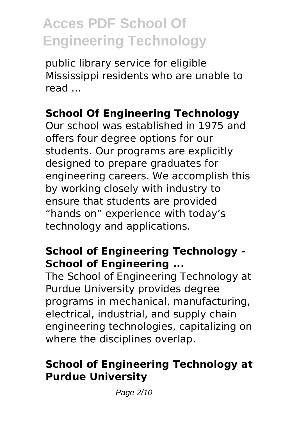public library service for eligible Mississippi residents who are unable to read ...

#### **School Of Engineering Technology**

Our school was established in 1975 and offers four degree options for our students. Our programs are explicitly designed to prepare graduates for engineering careers. We accomplish this by working closely with industry to ensure that students are provided "hands on" experience with today's technology and applications.

#### **School of Engineering Technology - School of Engineering ...**

The School of Engineering Technology at Purdue University provides degree programs in mechanical, manufacturing, electrical, industrial, and supply chain engineering technologies, capitalizing on where the disciplines overlap.

#### **School of Engineering Technology at Purdue University**

Page 2/10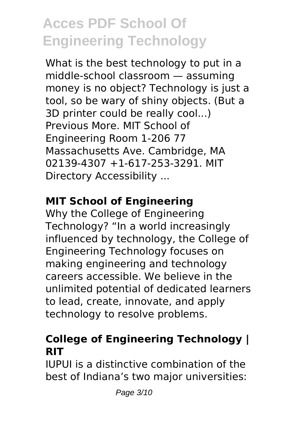What is the best technology to put in a middle-school classroom — assuming money is no object? Technology is just a tool, so be wary of shiny objects. (But a 3D printer could be really cool...) Previous More. MIT School of Engineering Room 1-206 77 Massachusetts Ave. Cambridge, MA 02139-4307 +1-617-253-3291. MIT Directory Accessibility ...

### **MIT School of Engineering**

Why the College of Engineering Technology? "In a world increasingly influenced by technology, the College of Engineering Technology focuses on making engineering and technology careers accessible. We believe in the unlimited potential of dedicated learners to lead, create, innovate, and apply technology to resolve problems.

#### **College of Engineering Technology | RIT**

IUPUI is a distinctive combination of the best of Indiana's two major universities: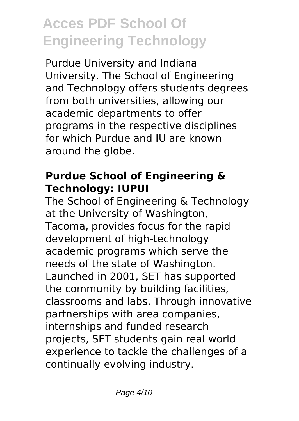Purdue University and Indiana University. The School of Engineering and Technology offers students degrees from both universities, allowing our academic departments to offer programs in the respective disciplines for which Purdue and IU are known around the globe.

#### **Purdue School of Engineering & Technology: IUPUI**

The School of Engineering & Technology at the University of Washington, Tacoma, provides focus for the rapid development of high-technology academic programs which serve the needs of the state of Washington. Launched in 2001, SET has supported the community by building facilities, classrooms and labs. Through innovative partnerships with area companies, internships and funded research projects, SET students gain real world experience to tackle the challenges of a continually evolving industry.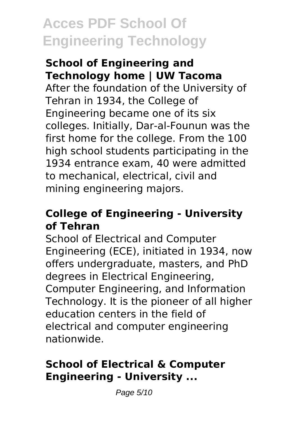#### **School of Engineering and Technology home | UW Tacoma**

After the foundation of the University of Tehran in 1934, the College of Engineering became one of its six colleges. Initially, Dar-al-Founun was the first home for the college. From the 100 high school students participating in the 1934 entrance exam, 40 were admitted to mechanical, electrical, civil and mining engineering majors.

#### **College of Engineering - University of Tehran**

School of Electrical and Computer Engineering (ECE), initiated in 1934, now offers undergraduate, masters, and PhD degrees in Electrical Engineering, Computer Engineering, and Information Technology. It is the pioneer of all higher education centers in the field of electrical and computer engineering nationwide.

#### **School of Electrical & Computer Engineering - University ...**

Page 5/10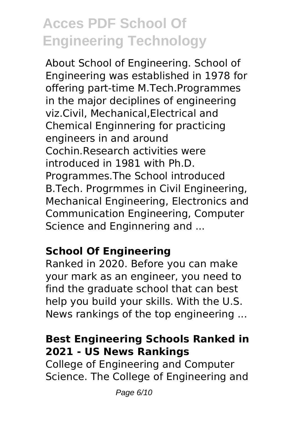About School of Engineering. School of Engineering was established in 1978 for offering part-time M.Tech.Programmes in the major deciplines of engineering viz.Civil, Mechanical,Electrical and Chemical Enginnering for practicing engineers in and around Cochin.Research activities were introduced in 1981 with Ph.D. Programmes.The School introduced B.Tech. Progrmmes in Civil Engineering, Mechanical Engineering, Electronics and Communication Engineering, Computer Science and Enginnering and ...

#### **School Of Engineering**

Ranked in 2020. Before you can make your mark as an engineer, you need to find the graduate school that can best help you build your skills. With the U.S. News rankings of the top engineering ...

#### **Best Engineering Schools Ranked in 2021 - US News Rankings**

College of Engineering and Computer Science. The College of Engineering and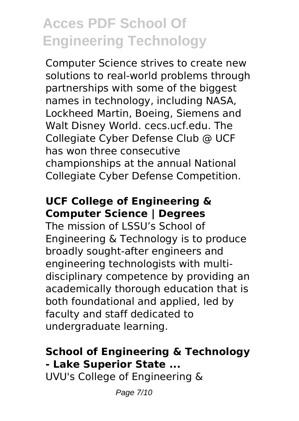Computer Science strives to create new solutions to real-world problems through partnerships with some of the biggest names in technology, including NASA, Lockheed Martin, Boeing, Siemens and Walt Disney World. cecs.ucf.edu. The Collegiate Cyber Defense Club @ UCF has won three consecutive championships at the annual National Collegiate Cyber Defense Competition.

#### **UCF College of Engineering & Computer Science | Degrees**

The mission of LSSU's School of Engineering & Technology is to produce broadly sought-after engineers and engineering technologists with multidisciplinary competence by providing an academically thorough education that is both foundational and applied, led by faculty and staff dedicated to undergraduate learning.

#### **School of Engineering & Technology - Lake Superior State ...**

UVU's College of Engineering &

Page 7/10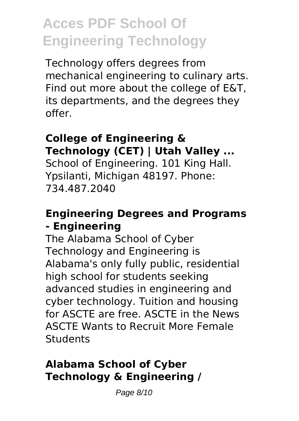Technology offers degrees from mechanical engineering to culinary arts. Find out more about the college of E&T, its departments, and the degrees they offer.

### **College of Engineering & Technology (CET) | Utah Valley ...**

School of Engineering. 101 King Hall. Ypsilanti, Michigan 48197. Phone: 734.487.2040

#### **Engineering Degrees and Programs - Engineering**

The Alabama School of Cyber Technology and Engineering is Alabama's only fully public, residential high school for students seeking advanced studies in engineering and cyber technology. Tuition and housing for ASCTE are free. ASCTE in the News ASCTE Wants to Recruit More Female **Students** 

### **Alabama School of Cyber Technology & Engineering /**

Page 8/10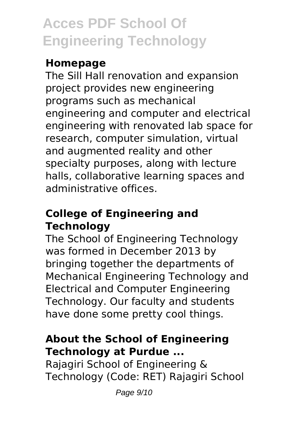### **Homepage**

The Sill Hall renovation and expansion project provides new engineering programs such as mechanical engineering and computer and electrical engineering with renovated lab space for research, computer simulation, virtual and augmented reality and other specialty purposes, along with lecture halls, collaborative learning spaces and administrative offices.

#### **College of Engineering and Technology**

The School of Engineering Technology was formed in December 2013 by bringing together the departments of Mechanical Engineering Technology and Electrical and Computer Engineering Technology. Our faculty and students have done some pretty cool things.

#### **About the School of Engineering Technology at Purdue ...**

Rajagiri School of Engineering & Technology (Code: RET) Rajagiri School